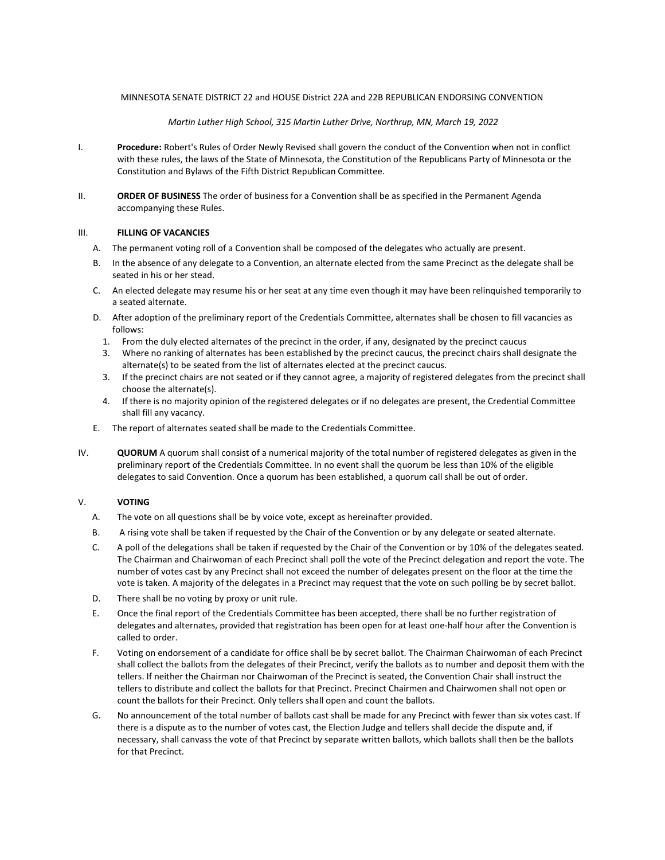### MINNESOTA SENATE DISTRICT 22 and HOUSE District 22A and 22B REPUBLICAN ENDORSING CONVENTION

### Martin Luther High School, 315 Martin Luther Drive, Northrup, MN, March 19, 2022

- I. Procedure: Robert's Rules of Order Newly Revised shall govern the conduct of the Convention when not in conflict with these rules, the laws of the State of Minnesota, the Constitution of the Republicans Party of Minnesota or the Constitution and Bylaws of the Fifth District Republican Committee.
- II. **ORDER OF BUSINESS** The order of business for a Convention shall be as specified in the Permanent Agenda accompanying these Rules.

### III. FILLING OF VACANCIES

- A. The permanent voting roll of a Convention shall be composed of the delegates who actually are present.
- B. In the absence of any delegate to a Convention, an alternate elected from the same Precinct as the delegate shall be seated in his or her stead.
- C. An elected delegate may resume his or her seat at any time even though it may have been relinquished temporarily to a seated alternate.
- D. After adoption of the preliminary report of the Credentials Committee, alternates shall be chosen to fill vacancies as follows:
	- 1. From the duly elected alternates of the precinct in the order, if any, designated by the precinct caucus
	- 3. Where no ranking of alternates has been established by the precinct caucus, the precinct chairs shall designate the alternate(s) to be seated from the list of alternates elected at the precinct caucus.
	- 3. If the precinct chairs are not seated or if they cannot agree, a majority of registered delegates from the precinct shall choose the alternate(s).
	- 4. If there is no majority opinion of the registered delegates or if no delegates are present, the Credential Committee shall fill any vacancy.
- E. The report of alternates seated shall be made to the Credentials Committee.
- IV. QUORUM A quorum shall consist of a numerical majority of the total number of registered delegates as given in the preliminary report of the Credentials Committee. In no event shall the quorum be less than 10% of the eligible delegates to said Convention. Once a quorum has been established, a quorum call shall be out of order.

## V. VOTING

- A. The vote on all questions shall be by voice vote, except as hereinafter provided.
- B. A rising vote shall be taken if requested by the Chair of the Convention or by any delegate or seated alternate.
- C. A poll of the delegations shall be taken if requested by the Chair of the Convention or by 10% of the delegates seated. The Chairman and Chairwoman of each Precinct shall poll the vote of the Precinct delegation and report the vote. The number of votes cast by any Precinct shall not exceed the number of delegates present on the floor at the time the vote is taken. A majority of the delegates in a Precinct may request that the vote on such polling be by secret ballot.
- D. There shall be no voting by proxy or unit rule.
- E. Once the final report of the Credentials Committee has been accepted, there shall be no further registration of delegates and alternates, provided that registration has been open for at least one-half hour after the Convention is called to order.
- F. Voting on endorsement of a candidate for office shall be by secret ballot. The Chairman Chairwoman of each Precinct shall collect the ballots from the delegates of their Precinct, verify the ballots as to number and deposit them with the tellers. If neither the Chairman nor Chairwoman of the Precinct is seated, the Convention Chair shall instruct the tellers to distribute and collect the ballots for that Precinct. Precinct Chairmen and Chairwomen shall not open or count the ballots for their Precinct. Only tellers shall open and count the ballots.
- G. No announcement of the total number of ballots cast shall be made for any Precinct with fewer than six votes cast. If there is a dispute as to the number of votes cast, the Election Judge and tellers shall decide the dispute and, if necessary, shall canvass the vote of that Precinct by separate written ballots, which ballots shall then be the ballots for that Precinct.